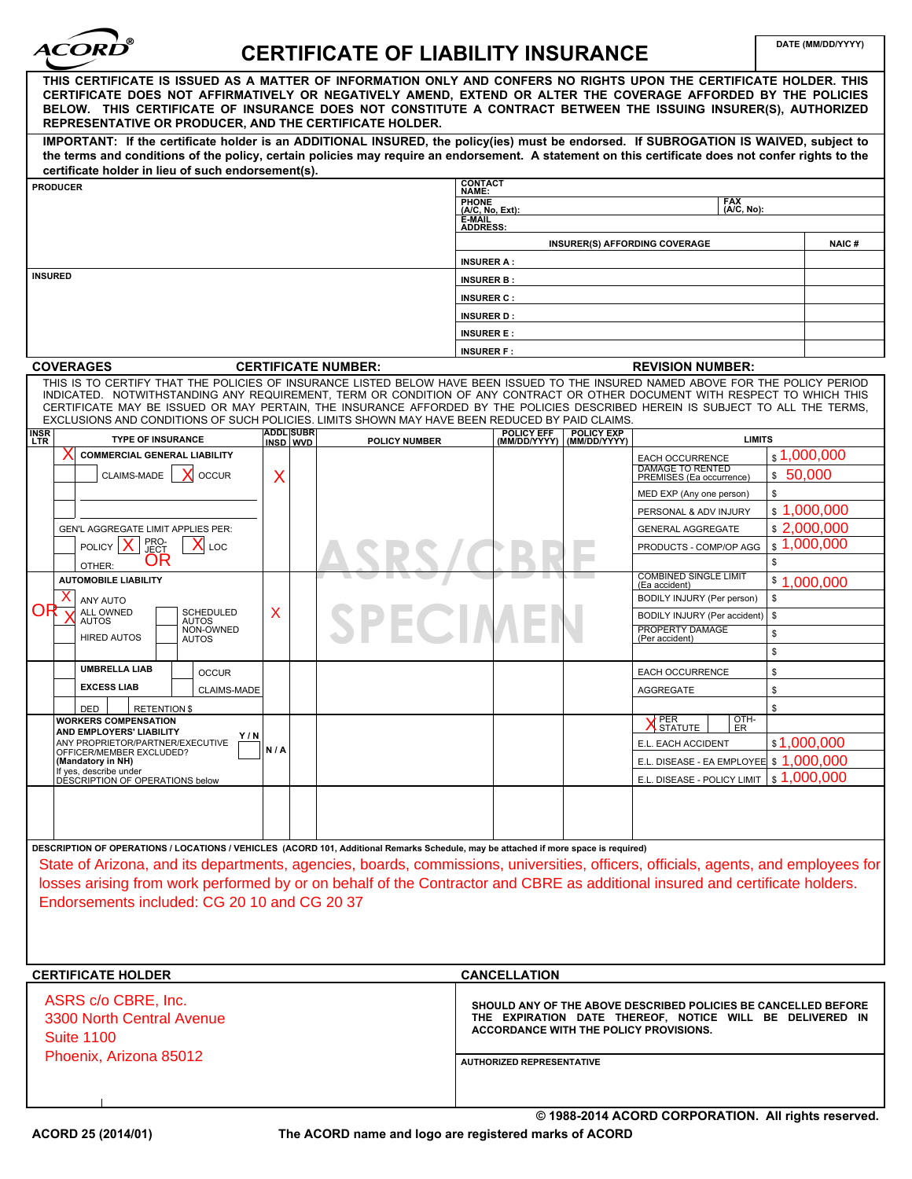

# **DATE (MM/DD/YYYY) CERTIFICATE OF LIABILITY INSURANCE**

| THIS CERTIFICATE IS ISSUED AS A MATTER OF INFORMATION ONLY AND CONFERS NO RIGHTS UPON THE CERTIFICATE HOLDER. THIS<br>CERTIFICATE DOES NOT AFFIRMATIVELY OR NEGATIVELY AMEND, EXTEND OR ALTER THE COVERAGE AFFORDED BY THE POLICIES<br>BELOW. THIS CERTIFICATE OF INSURANCE DOES NOT CONSTITUTE A CONTRACT BETWEEN THE ISSUING INSURER(S), AUTHORIZED<br>REPRESENTATIVE OR PRODUCER, AND THE CERTIFICATE HOLDER.                                                                                   |                              |                            |                                                                                                                                                                      |                                  |                                                |                                                     |                        |                        |
|----------------------------------------------------------------------------------------------------------------------------------------------------------------------------------------------------------------------------------------------------------------------------------------------------------------------------------------------------------------------------------------------------------------------------------------------------------------------------------------------------|------------------------------|----------------------------|----------------------------------------------------------------------------------------------------------------------------------------------------------------------|----------------------------------|------------------------------------------------|-----------------------------------------------------|------------------------|------------------------|
| IMPORTANT: If the certificate holder is an ADDITIONAL INSURED, the policy(ies) must be endorsed. If SUBROGATION IS WAIVED, subject to                                                                                                                                                                                                                                                                                                                                                              |                              |                            |                                                                                                                                                                      |                                  |                                                |                                                     |                        |                        |
| the terms and conditions of the policy, certain policies may require an endorsement. A statement on this certificate does not confer rights to the<br>certificate holder in lieu of such endorsement(s).                                                                                                                                                                                                                                                                                           |                              |                            |                                                                                                                                                                      |                                  |                                                |                                                     |                        |                        |
| <b>PRODUCER</b>                                                                                                                                                                                                                                                                                                                                                                                                                                                                                    |                              |                            | <b>CONTACT</b><br>NAME:                                                                                                                                              |                                  |                                                |                                                     |                        |                        |
|                                                                                                                                                                                                                                                                                                                                                                                                                                                                                                    |                              |                            | <b>FAX</b><br>PHONE<br>(A/C, No, Ext):<br>(A/C, No):                                                                                                                 |                                  |                                                |                                                     |                        |                        |
|                                                                                                                                                                                                                                                                                                                                                                                                                                                                                                    |                              |                            | <b>E-MAIL<br/>ADDRESS:</b>                                                                                                                                           |                                  |                                                |                                                     |                        |                        |
|                                                                                                                                                                                                                                                                                                                                                                                                                                                                                                    |                              |                            | <b>INSURER(S) AFFORDING COVERAGE</b><br><b>NAIC#</b>                                                                                                                 |                                  |                                                |                                                     |                        |                        |
|                                                                                                                                                                                                                                                                                                                                                                                                                                                                                                    |                              |                            | <b>INSURER A:</b>                                                                                                                                                    |                                  |                                                |                                                     |                        |                        |
| <b>INSURED</b>                                                                                                                                                                                                                                                                                                                                                                                                                                                                                     |                              |                            | <b>INSURER B:</b>                                                                                                                                                    |                                  |                                                |                                                     |                        |                        |
|                                                                                                                                                                                                                                                                                                                                                                                                                                                                                                    |                              |                            | <b>INSURER C:</b>                                                                                                                                                    |                                  |                                                |                                                     |                        |                        |
|                                                                                                                                                                                                                                                                                                                                                                                                                                                                                                    |                              |                            | <b>INSURER D:</b>                                                                                                                                                    |                                  |                                                |                                                     |                        |                        |
|                                                                                                                                                                                                                                                                                                                                                                                                                                                                                                    |                              |                            | <b>INSURER E:</b>                                                                                                                                                    |                                  |                                                |                                                     |                        |                        |
|                                                                                                                                                                                                                                                                                                                                                                                                                                                                                                    |                              |                            |                                                                                                                                                                      | <b>INSURER F:</b>                |                                                |                                                     |                        |                        |
| <b>COVERAGES</b>                                                                                                                                                                                                                                                                                                                                                                                                                                                                                   |                              | <b>CERTIFICATE NUMBER:</b> |                                                                                                                                                                      |                                  |                                                | <b>REVISION NUMBER:</b>                             |                        |                        |
| THIS IS TO CERTIFY THAT THE POLICIES OF INSURANCE LISTED BELOW HAVE BEEN ISSUED TO THE INSURED NAMED ABOVE FOR THE POLICY PERIOD<br>INDICATED. NOTWITHSTANDING ANY REQUIREMENT, TERM OR CONDITION OF ANY CONTRACT OR OTHER DOCUMENT WITH RESPECT TO WHICH THIS<br>CERTIFICATE MAY BE ISSUED OR MAY PERTAIN, THE INSURANCE AFFORDED BY THE POLICIES DESCRIBED HEREIN IS SUBJECT TO ALL THE TERMS,<br>EXCLUSIONS AND CONDITIONS OF SUCH POLICIES. LIMITS SHOWN MAY HAVE BEEN REDUCED BY PAID CLAIMS. |                              |                            |                                                                                                                                                                      |                                  |                                                |                                                     |                        |                        |
| <b>INSR</b><br>LTR<br><b>TYPE OF INSURANCE</b>                                                                                                                                                                                                                                                                                                                                                                                                                                                     | <b>ADDL SUBR</b><br>INSD WVD | POLICY NUMBER              |                                                                                                                                                                      | <b>POLICY EFF</b>                | <b>POLICY EXP</b><br>(MM/DD/YYYY) (MM/DD/YYYY) | <b>LIMITS</b>                                       |                        |                        |
| <b>COMMERCIAL GENERAL LIABILITY</b><br>↗                                                                                                                                                                                                                                                                                                                                                                                                                                                           |                              |                            |                                                                                                                                                                      |                                  |                                                | <b>EACH OCCURRENCE</b>                              | $\frac{1}{2}$ ,000,000 |                        |
| CLAIMS-MADE<br><b>OCCUR</b>                                                                                                                                                                                                                                                                                                                                                                                                                                                                        | Χ                            |                            |                                                                                                                                                                      |                                  |                                                | <b>DAMAGE TO RENTED</b><br>PREMISES (Ea occurrence) | \$50,000               |                        |
|                                                                                                                                                                                                                                                                                                                                                                                                                                                                                                    |                              |                            |                                                                                                                                                                      |                                  |                                                | MED EXP (Any one person)                            | $\mathbb S$            |                        |
|                                                                                                                                                                                                                                                                                                                                                                                                                                                                                                    |                              |                            |                                                                                                                                                                      |                                  |                                                | PERSONAL & ADV INJURY                               |                        | \$1,000,000            |
| GEN'L AGGREGATE LIMIT APPLIES PER:                                                                                                                                                                                                                                                                                                                                                                                                                                                                 |                              |                            |                                                                                                                                                                      |                                  |                                                | <b>GENERAL AGGREGATE</b>                            |                        | \$2,000,000            |
| PRO-<br>J <u>ECT</u><br><b>POLICY</b><br>LOC                                                                                                                                                                                                                                                                                                                                                                                                                                                       |                              |                            |                                                                                                                                                                      |                                  |                                                | PRODUCTS - COMP/OP AGG                              |                        | $\frac{1}{2}$ ,000,000 |
| OR<br>OTHER:                                                                                                                                                                                                                                                                                                                                                                                                                                                                                       |                              |                            |                                                                                                                                                                      |                                  |                                                |                                                     | \$                     |                        |
| <b>AUTOMOBILE LIABILITY</b>                                                                                                                                                                                                                                                                                                                                                                                                                                                                        |                              |                            |                                                                                                                                                                      |                                  |                                                | <b>COMBINED SINGLE LIMIT</b><br>(Ea accident)       |                        | \$1,000,000            |
| ANY AUTO<br>ΟF                                                                                                                                                                                                                                                                                                                                                                                                                                                                                     |                              |                            |                                                                                                                                                                      |                                  |                                                | BODILY INJURY (Per person)<br>\$                    |                        |                        |
| ALL OWNED<br><b>SCHEDULED</b><br><b>AUTOS</b><br>AUTOS<br>NON-OWNED                                                                                                                                                                                                                                                                                                                                                                                                                                | Χ                            | SPECIA                     |                                                                                                                                                                      |                                  |                                                | BODILY INJURY (Per accident)<br>\$                  |                        |                        |
| <b>HIRED AUTOS</b><br><b>AUTOS</b>                                                                                                                                                                                                                                                                                                                                                                                                                                                                 |                              |                            |                                                                                                                                                                      |                                  |                                                | PROPERTY DAMAGE<br>(Per accident)                   | \$                     |                        |
|                                                                                                                                                                                                                                                                                                                                                                                                                                                                                                    |                              |                            |                                                                                                                                                                      |                                  |                                                |                                                     | \$                     |                        |
| <b>UMBRELLA LIAB</b><br><b>OCCUR</b>                                                                                                                                                                                                                                                                                                                                                                                                                                                               |                              |                            |                                                                                                                                                                      |                                  |                                                | EACH OCCURRENCE                                     | \$                     |                        |
| <b>EXCESS LIAB</b><br><b>CLAIMS-MADE</b>                                                                                                                                                                                                                                                                                                                                                                                                                                                           |                              |                            |                                                                                                                                                                      |                                  |                                                | <b>AGGREGATE</b>                                    | \$                     |                        |
| DED<br><b>RETENTION \$</b><br><b>WORKERS COMPENSATION</b>                                                                                                                                                                                                                                                                                                                                                                                                                                          |                              |                            |                                                                                                                                                                      |                                  |                                                |                                                     | \$                     |                        |
| AND EMPLOYERS' LIABILITY<br>Y/N                                                                                                                                                                                                                                                                                                                                                                                                                                                                    |                              |                            |                                                                                                                                                                      |                                  |                                                | <b>X</b> PER<br>STATUTE<br>$_{ER}^{QTH}$            |                        |                        |
| ANY PROPRIETOR/PARTNER/EXECUTIVE<br>OFFICER/MEMBER EXCLUDED?                                                                                                                                                                                                                                                                                                                                                                                                                                       | N/A                          |                            |                                                                                                                                                                      |                                  |                                                | E.L. EACH ACCIDENT                                  |                        | \$1,000,000            |
| (Mandatory in NH)<br>If yes, describe under                                                                                                                                                                                                                                                                                                                                                                                                                                                        |                              |                            |                                                                                                                                                                      |                                  |                                                | E.L. DISEASE - EA EMPLOYEE $\vert$ \$ 1,000,000     |                        |                        |
| DÉSCRIPTION OF OPERATIONS below                                                                                                                                                                                                                                                                                                                                                                                                                                                                    |                              |                            |                                                                                                                                                                      |                                  |                                                | E.L. DISEASE - POLICY LIMIT $ $ \$ 1,000,000        |                        |                        |
| DESCRIPTION OF OPERATIONS / LOCATIONS / VEHICLES (ACORD 101, Additional Remarks Schedule, may be attached if more space is required)<br>State of Arizona, and its departments, agencies, boards, commissions, universities, officers, officials, agents, and employees for<br>losses arising from work performed by or on behalf of the Contractor and CBRE as additional insured and certificate holders.<br>Endorsements included: CG 20 10 and CG 20 37                                         |                              |                            |                                                                                                                                                                      |                                  |                                                |                                                     |                        |                        |
| <b>CERTIFICATE HOLDER</b>                                                                                                                                                                                                                                                                                                                                                                                                                                                                          |                              |                            |                                                                                                                                                                      | <b>CANCELLATION</b>              |                                                |                                                     |                        |                        |
|                                                                                                                                                                                                                                                                                                                                                                                                                                                                                                    |                              |                            |                                                                                                                                                                      |                                  |                                                |                                                     |                        |                        |
| ASRS c/o CBRE, Inc.<br>3300 North Central Avenue<br><b>Suite 1100</b>                                                                                                                                                                                                                                                                                                                                                                                                                              |                              |                            | SHOULD ANY OF THE ABOVE DESCRIBED POLICIES BE CANCELLED BEFORE<br>THE EXPIRATION DATE THEREOF, NOTICE WILL BE DELIVERED IN<br>ACCORDANCE WITH THE POLICY PROVISIONS. |                                  |                                                |                                                     |                        |                        |
| Phoenix, Arizona 85012                                                                                                                                                                                                                                                                                                                                                                                                                                                                             |                              |                            |                                                                                                                                                                      | <b>AUTHORIZED REPRESENTATIVE</b> |                                                |                                                     |                        |                        |
|                                                                                                                                                                                                                                                                                                                                                                                                                                                                                                    |                              |                            |                                                                                                                                                                      |                                  |                                                | © 1988-2014 ACORD CORPORATION. All rights reserved. |                        |                        |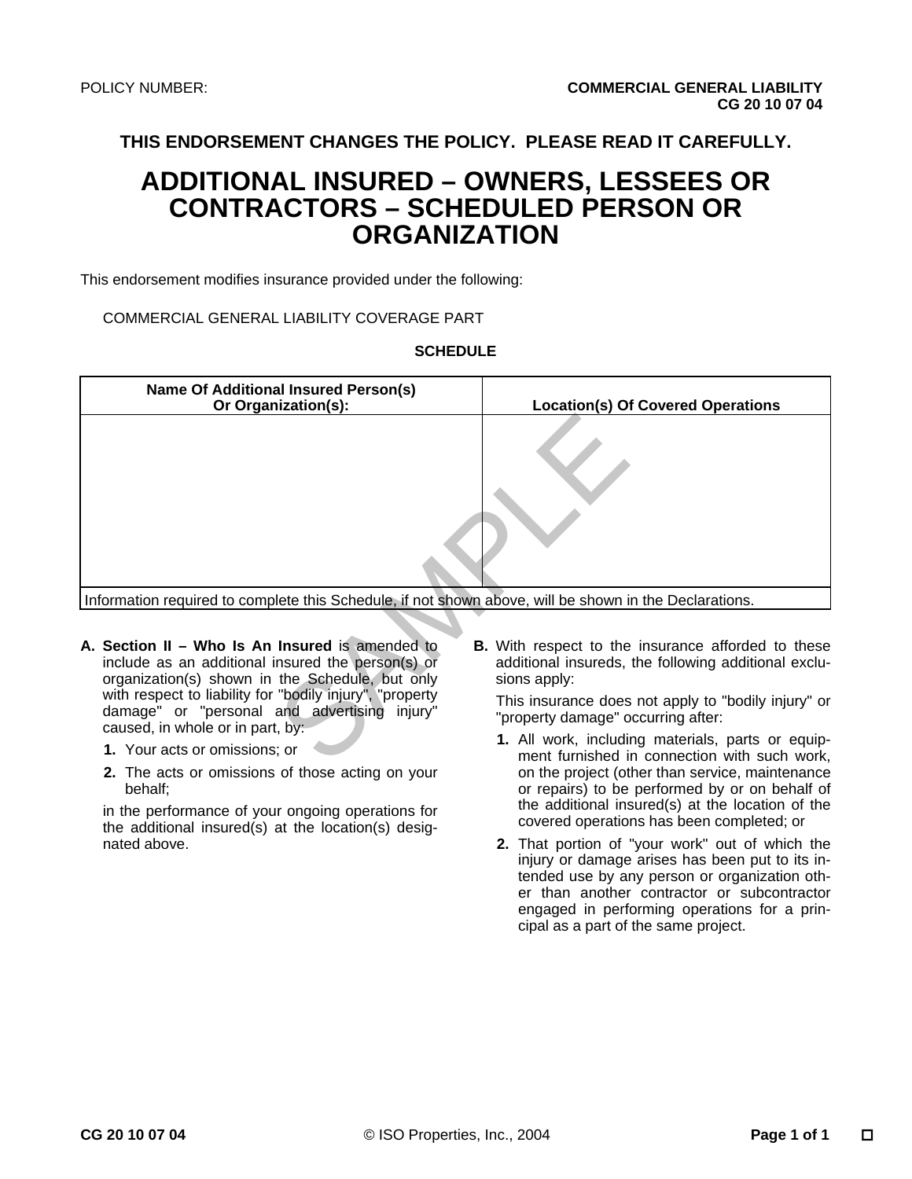**THIS ENDORSEMENT CHANGES THE POLICY. PLEASE READ IT CAREFULLY.** 

## **ADDITIONAL INSURED – OWNERS, LESSEES OR CONTRACTORS – SCHEDULED PERSON OR ORGANIZATION**

This endorsement modifies insurance provided under the following:

COMMERCIAL GENERAL LIABILITY COVERAGE PART

#### **SCHEDULE**

| <b>Name Of Additional Insured Person(s)</b><br>Or Organization(s):                                                                                      | <b>Location(s) Of Covered Operations</b>                                                                                          |  |  |  |  |  |  |
|---------------------------------------------------------------------------------------------------------------------------------------------------------|-----------------------------------------------------------------------------------------------------------------------------------|--|--|--|--|--|--|
|                                                                                                                                                         |                                                                                                                                   |  |  |  |  |  |  |
| Information required to complete this Schedule, if not shown above, will be shown in the Declarations.                                                  |                                                                                                                                   |  |  |  |  |  |  |
|                                                                                                                                                         |                                                                                                                                   |  |  |  |  |  |  |
| A. Section II – Who Is An Insured is amended to<br>include as an additional insured the person(s) or<br>organization(s) shown in the Schedule, but only | <b>B.</b> With respect to the insurance afforded to these<br>additional insureds, the following additional exclu-<br>sions apply: |  |  |  |  |  |  |
| with respect to liability for "bodily injury", "property<br>damage" or "personal and advertising injury"<br>caused, in whole or in part, by:            | This insurance does not apply to "bodily injury" or<br>"property damage" occurring after:                                         |  |  |  |  |  |  |
| 1. Your acts or omissions; or                                                                                                                           | 1. All work, including materials, parts or equip-<br>ment furnished in connection with such work,                                 |  |  |  |  |  |  |

- **A. Section II Who Is An Insured** is amended to include as an additional insured the person(s) or organization(s) shown in the Schedule, but only with respect to liability for "bodily injury", "property damage" or "personal and advertising injury" caused, in whole or in part, by:
	- **1.** Your acts or omissions; or
	- **2.** The acts or omissions of those acting on your behalf;

in the performance of your ongoing operations for the additional insured(s) at the location(s) designated above.

- **1.** All work, including materials, parts or equipment furnished in connection with such work, on the project (other than service, maintenance or repairs) to be performed by or on behalf of the additional insured(s) at the location of the covered operations has been completed; or
- **2.** That portion of "your work" out of which the injury or damage arises has been put to its intended use by any person or organization other than another contractor or subcontractor engaged in performing operations for a principal as a part of the same project.